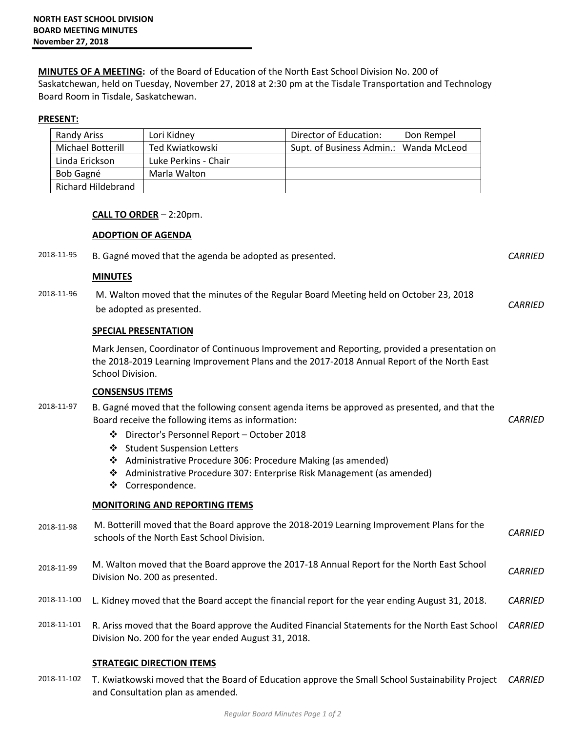**MINUTES OF A MEETING:** of the Board of Education of the North East School Division No. 200 of Saskatchewan, held on Tuesday, November 27, 2018 at 2:30 pm at the Tisdale Transportation and Technology Board Room in Tisdale, Saskatchewan.

## **PRESENT:**

| <b>Randy Ariss</b>        | Lori Kidney          | Director of Education:<br>Don Rempel   |
|---------------------------|----------------------|----------------------------------------|
| Michael Botterill         | Ted Kwiatkowski      | Supt. of Business Admin.: Wanda McLeod |
| Linda Erickson            | Luke Perkins - Chair |                                        |
| Bob Gagné                 | Marla Walton         |                                        |
| <b>Richard Hildebrand</b> |                      |                                        |

## **CALL TO ORDER** – 2:20pm.

## **ADOPTION OF AGENDA**

2018-11-95 B. Gagné moved that the agenda be adopted as presented. *CARRIED*

#### **MINUTES**

2018-11-96 M. Walton moved that the minutes of the Regular Board Meeting held on October 23, 2018 be adopted as presented. *CARRIED* 

## **SPECIAL PRESENTATION**

Mark Jensen, Coordinator of Continuous Improvement and Reporting, provided a presentation on the 2018-2019 Learning Improvement Plans and the 2017-2018 Annual Report of the North East School Division.

#### **CONSENSUS ITEMS**

- 2018-11-97 B. Gagné moved that the following consent agenda items be approved as presented, and that the Board receive the following items as information: *CARRIED* 
	- Director's Personnel Report October 2018
	- ❖ Student Suspension Letters
	- Administrative Procedure 306: Procedure Making (as amended)
	- Administrative Procedure 307: Enterprise Risk Management (as amended)
	- ❖ Correspondence.

# **MONITORING AND REPORTING ITEMS**

- 2018-11-98 M. Botterill moved that the Board approve the 2018-2019 Learning Improvement Plans for the schools of the North East School Division. *CARRIED*
- 2018-11-99 M. Walton moved that the Board approve the 2017-18 Annual Report for the North East School Division No. 200 as presented. *CARRIED*
- 2018-11-100 L. Kidney moved that the Board accept the financial report for the year ending August 31, 2018. *CARRIED*
- 2018-11-101 R. Ariss moved that the Board approve the Audited Financial Statements for the North East School *CARRIED* Division No. 200 for the year ended August 31, 2018.

# **STRATEGIC DIRECTION ITEMS**

2018-11-102 T. Kwiatkowski moved that the Board of Education approve the Small School Sustainability Project *CARRIED*and Consultation plan as amended.